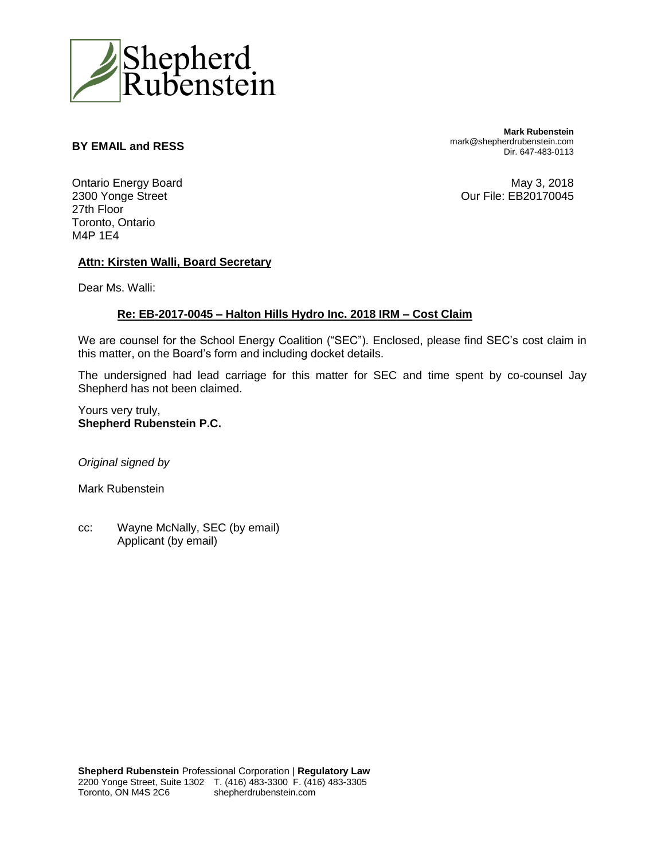

#### **BY EMAIL and RESS**

**Mark Rubenstein** mark@shepherdrubenstein.com Dir. 647-483-0113

Ontario Energy Board 2300 Yonge Street 27th Floor Toronto, Ontario M4P 1E4

May 3, 2018 Our File: EB20170045

#### **Attn: Kirsten Walli, Board Secretary**

Dear Ms. Walli:

#### **Re: EB-2017-0045 – Halton Hills Hydro Inc. 2018 IRM – Cost Claim**

We are counsel for the School Energy Coalition ("SEC"). Enclosed, please find SEC's cost claim in this matter, on the Board's form and including docket details.

The undersigned had lead carriage for this matter for SEC and time spent by co-counsel Jay Shepherd has not been claimed.

Yours very truly, **Shepherd Rubenstein P.C.**

*Original signed by*

Mark Rubenstein

cc: Wayne McNally, SEC (by email) Applicant (by email)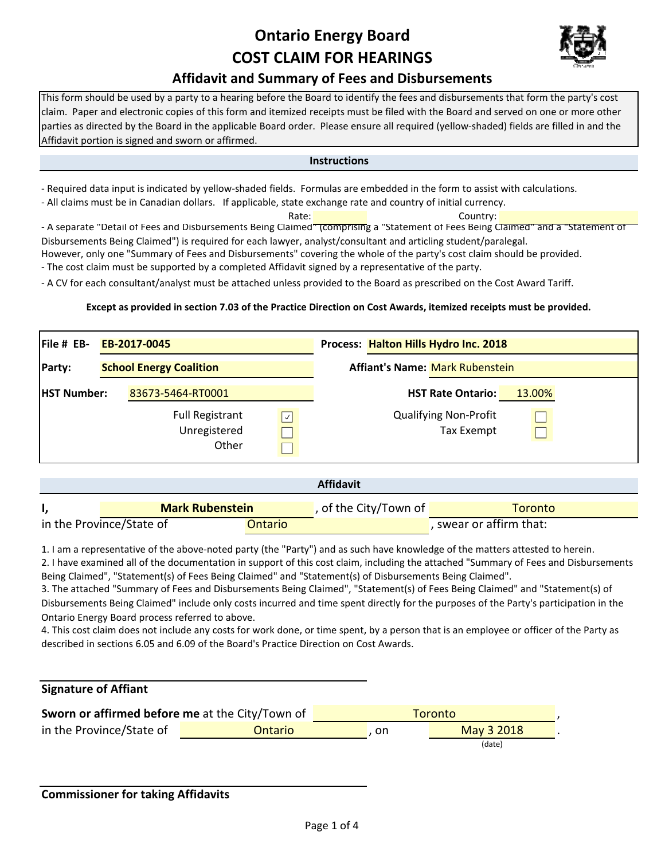## **Ontario Energy Board COST CLAIM FOR HEARINGS**



### **Affidavit and Summary of Fees and Disbursements**

This form should be used by a party to a hearing before the Board to identify the fees and disbursements that form the party's cost claim. Paper and electronic copies of this form and itemized receipts must be filed with the Board and served on one or more other parties as directed by the Board in the applicable Board order. Please ensure all required (yellow‐shaded) fields are filled in and the Affidavit portion is signed and sworn or affirmed.

#### **Instructions**

‐ Required data input is indicated by yellow‐shaded fields. Formulas are embedded in the form to assist with calculations.

‐ All claims must be in Canadian dollars. If applicable, state exchange rate and country of initial currency.

Rate: **Country:** Country: - A separate "Detail of Fees and Disbursements Being Claimed" (comprising a "Statement of Fees Being Claimed" and a "Statement of Disbursements Being Claimed") is required for each lawyer, analyst/consultant and articling student/paralegal.

However, only one "Summary of Fees and Disbursements" covering the whole of the party's cost claim should be provided.

‐ The cost claim must be supported by a completed Affidavit signed by a representative of the party.

‐ A CV for each consultant/analyst must be attached unless provided to the Board as prescribed on the Cost Award Tariff.

#### **Except as provided in section 7.03 of the Practice Direction on Cost Awards, itemized receipts must be provided.**

| $File # EB-$       |                                | EB-2017-0045                                    |      | Process: Halton Hills Hydro Inc. 2018      |        |  |  |
|--------------------|--------------------------------|-------------------------------------------------|------|--------------------------------------------|--------|--|--|
| Party:             | <b>School Energy Coalition</b> |                                                 |      | <b>Affiant's Name: Mark Rubenstein</b>     |        |  |  |
| <b>HST Number:</b> |                                | 83673-5464-RT0001                               |      | <b>HST Rate Ontario:</b>                   | 13.00% |  |  |
|                    |                                | <b>Full Registrant</b><br>Unregistered<br>Other | ا بی | <b>Qualifying Non-Profit</b><br>Tax Exempt |        |  |  |

|                          |                        |         | <b>Affidavit</b>               |                         |
|--------------------------|------------------------|---------|--------------------------------|-------------------------|
|                          | <b>Mark Rubenstein</b> |         | , of the City/Town of <b>i</b> | Toronto                 |
| in the Province/State of |                        | Ontario |                                | , swear or affirm that: |

1. I am a representative of the above‐noted party (the "Party") and as such have knowledge of the matters attested to herein.

2. I have examined all of the documentation in support of this cost claim, including the attached "Summary of Fees and Disbursements Being Claimed", "Statement(s) of Fees Being Claimed" and "Statement(s) of Disbursements Being Claimed".

3. The attached "Summary of Fees and Disbursements Being Claimed", "Statement(s) of Fees Being Claimed" and "Statement(s) of Disbursements Being Claimed" include only costs incurred and time spent directly for the purposes of the Party's participation in the Ontario Energy Board process referred to above.

4. This cost claim does not include any costs for work done, or time spent, by a person that is an employee or officer of the Party as described in sections 6.05 and 6.09 of the Board's Practice Direction on Cost Awards.

#### **Signature of Affiant**

| Sworn or affirmed before me at the City/Town of |         | Toronto |            |  |  |
|-------------------------------------------------|---------|---------|------------|--|--|
| in the Province/State of                        | Ontario | on.     | May 3 2018 |  |  |
|                                                 |         |         | (date)     |  |  |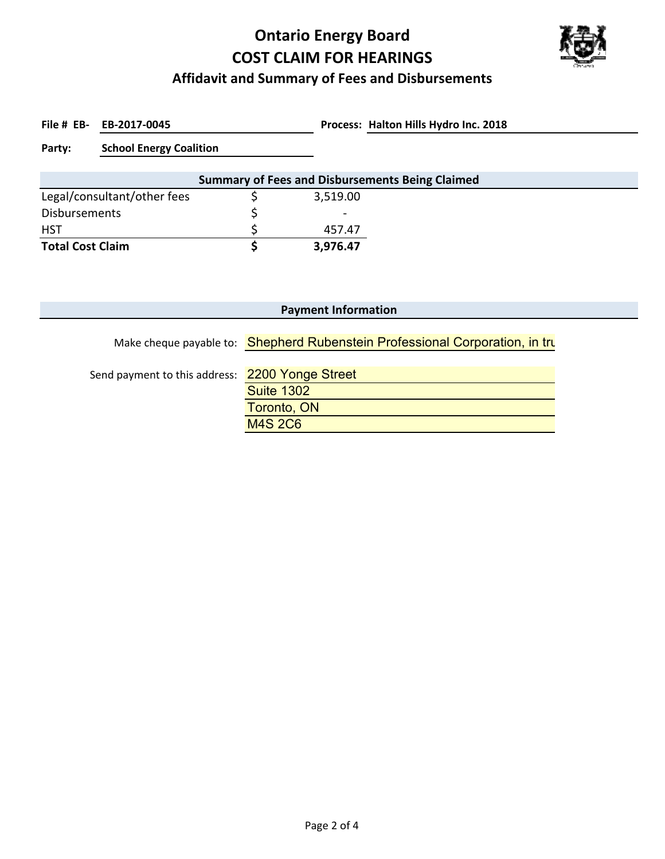# **Ontario Energy Board COST CLAIM FOR HEARINGS**



### **Affidavit and Summary of Fees and Disbursements**

File # EB- EB-2017-0045

**EB‐2017‐0045 Halton Hills Hydro Inc. 2018**

**Party: School Energy Coalition**

| <b>Summary of Fees and Disbursements Being Claimed</b> |  |                          |  |  |  |  |
|--------------------------------------------------------|--|--------------------------|--|--|--|--|
| Legal/consultant/other fees                            |  | 3,519.00                 |  |  |  |  |
| Disbursements                                          |  | $\overline{\phantom{0}}$ |  |  |  |  |
| <b>HST</b>                                             |  | 457.47                   |  |  |  |  |
| <b>Total Cost Claim</b>                                |  | 3,976.47                 |  |  |  |  |

| <b>Payment Information</b>                      |                                                                              |  |  |  |  |
|-------------------------------------------------|------------------------------------------------------------------------------|--|--|--|--|
|                                                 | Make cheque payable to: Shepherd Rubenstein Professional Corporation, in tru |  |  |  |  |
| Send payment to this address: 2200 Yonge Street |                                                                              |  |  |  |  |
|                                                 | <b>Suite 1302</b><br>Toronto, ON                                             |  |  |  |  |
|                                                 | <b>M4S 2C6</b>                                                               |  |  |  |  |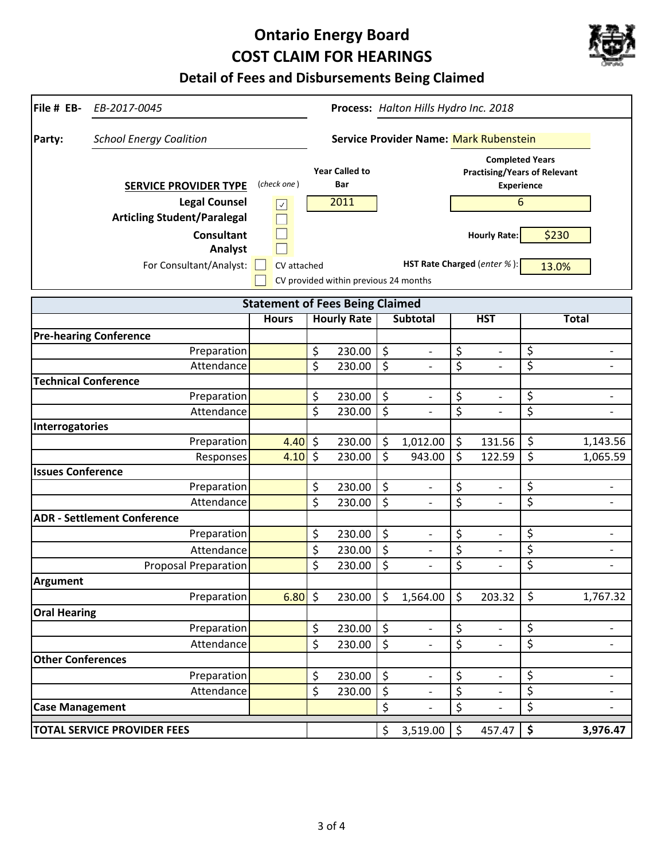# **Ontario Energy Board COST CLAIM FOR HEARINGS**



### **Detail of Fees and Disbursements Being Claimed**

| File # EB-<br>EB-2017-0045               |                                        |         |                                       |         | Process: Halton Hills Hydro Inc. 2018  |         |                                                                                    |                          |                          |
|------------------------------------------|----------------------------------------|---------|---------------------------------------|---------|----------------------------------------|---------|------------------------------------------------------------------------------------|--------------------------|--------------------------|
| <b>School Energy Coalition</b><br>Party: |                                        |         |                                       |         | Service Provider Name: Mark Rubenstein |         |                                                                                    |                          |                          |
| <b>SERVICE PROVIDER TYPE</b>             | (check one)                            |         | <b>Year Called to</b><br>Bar          |         |                                        |         | <b>Completed Years</b><br><b>Practising/Years of Relevant</b><br><b>Experience</b> |                          |                          |
| <b>Legal Counsel</b>                     | $\backsim$                             |         | 2011                                  |         |                                        |         | 6                                                                                  |                          |                          |
| <b>Articling Student/Paralegal</b>       |                                        |         |                                       |         |                                        |         |                                                                                    |                          |                          |
| <b>Consultant</b>                        |                                        |         |                                       |         |                                        |         | <b>Hourly Rate:</b>                                                                |                          | \$230                    |
| Analyst                                  |                                        |         |                                       |         |                                        |         |                                                                                    |                          |                          |
| For Consultant/Analyst:                  | CV attached                            |         |                                       |         |                                        |         | HST Rate Charged (enter %):                                                        |                          | 13.0%                    |
|                                          |                                        |         | CV provided within previous 24 months |         |                                        |         |                                                                                    |                          |                          |
|                                          | <b>Statement of Fees Being Claimed</b> |         |                                       |         |                                        |         |                                                                                    |                          |                          |
|                                          | <b>Hours</b>                           |         | <b>Hourly Rate</b>                    |         | <b>Subtotal</b>                        |         | <b>HST</b>                                                                         |                          | <b>Total</b>             |
| <b>Pre-hearing Conference</b>            |                                        |         |                                       |         |                                        |         |                                                                                    |                          |                          |
| Preparation                              |                                        | \$      | 230.00                                | \$      |                                        | \$      |                                                                                    | \$                       |                          |
| Attendance                               |                                        | \$      | 230.00                                | $\zeta$ | $\overline{\phantom{0}}$               | \$      | $\overline{a}$                                                                     | \$                       | $\overline{\phantom{0}}$ |
| <b>Technical Conference</b>              |                                        |         |                                       |         |                                        |         |                                                                                    |                          |                          |
| Preparation                              |                                        | \$      | 230.00                                | \$      |                                        | \$      | $\overline{\phantom{0}}$                                                           | \$                       |                          |
| Attendance                               |                                        | \$      | 230.00                                | \$      | $\overline{a}$                         | \$      | $\overline{\phantom{0}}$                                                           | \$                       | $\qquad \qquad -$        |
| Interrogatories                          |                                        |         |                                       |         |                                        |         |                                                                                    |                          |                          |
| Preparation                              | 4.40                                   | $\zeta$ | 230.00                                | \$      | 1,012.00                               | \$      | 131.56                                                                             | \$                       | 1,143.56                 |
| Responses                                | 4.10                                   | \$      | 230.00                                | \$      | 943.00                                 | \$      | 122.59                                                                             | \$                       | 1,065.59                 |
| <b>Issues Conference</b>                 |                                        |         |                                       |         |                                        |         |                                                                                    |                          |                          |
| Preparation                              |                                        | \$      | 230.00                                | \$      |                                        | \$      | $\overline{\phantom{0}}$                                                           | \$                       |                          |
| Attendance                               |                                        | \$      | 230.00                                | \$      |                                        | \$      | $\overline{\phantom{0}}$                                                           | \$                       | $\overline{\phantom{a}}$ |
| <b>ADR - Settlement Conference</b>       |                                        |         |                                       |         |                                        |         |                                                                                    |                          |                          |
| Preparation                              |                                        | \$      | 230.00                                | \$      |                                        | \$      | $\overline{\phantom{0}}$                                                           | \$                       | $\overline{\phantom{a}}$ |
| Attendance                               |                                        | \$      | 230.00                                | \$      | $\overline{a}$                         | \$      | $\overline{\phantom{0}}$                                                           | \$                       | $\overline{\phantom{a}}$ |
| <b>Proposal Preparation</b>              |                                        | \$      | 230.00                                | \$      |                                        | \$      | $\overline{a}$                                                                     | \$                       | $\overline{\phantom{a}}$ |
| <b>Argument</b>                          |                                        |         |                                       |         |                                        |         |                                                                                    |                          |                          |
| Preparation                              | 6.80                                   | $\zeta$ | 230.00                                | \$      | 1,564.00                               | \$      | 203.32                                                                             | \$                       | 1,767.32                 |
| <b>Oral Hearing</b>                      |                                        |         |                                       |         |                                        |         |                                                                                    |                          |                          |
| Preparation                              |                                        | \$      | 230.00                                | $\zeta$ | $\overline{\phantom{0}}$               | \$      | $\overline{\phantom{a}}$                                                           | $\overline{\mathcal{S}}$ | $\overline{\phantom{0}}$ |
| Attendance                               |                                        | \$      | 230.00                                | \$      |                                        | \$      |                                                                                    | \$                       |                          |
| <b>Other Conferences</b>                 |                                        |         |                                       |         |                                        |         |                                                                                    |                          |                          |
| Preparation                              |                                        | \$      | 230.00                                | \$      |                                        | \$      | $\overline{\phantom{0}}$                                                           | \$                       |                          |
| Attendance                               |                                        | \$      | 230.00                                | \$      | $\overline{\phantom{0}}$               | \$      | $\overline{\phantom{0}}$                                                           | \$                       | -                        |
| <b>Case Management</b>                   |                                        |         |                                       | \$      |                                        | \$      |                                                                                    | \$                       | $\qquad \qquad -$        |
| <b>TOTAL SERVICE PROVIDER FEES</b>       |                                        |         |                                       | \$      | 3,519.00                               | $\zeta$ | 457.47                                                                             | \$                       | 3,976.47                 |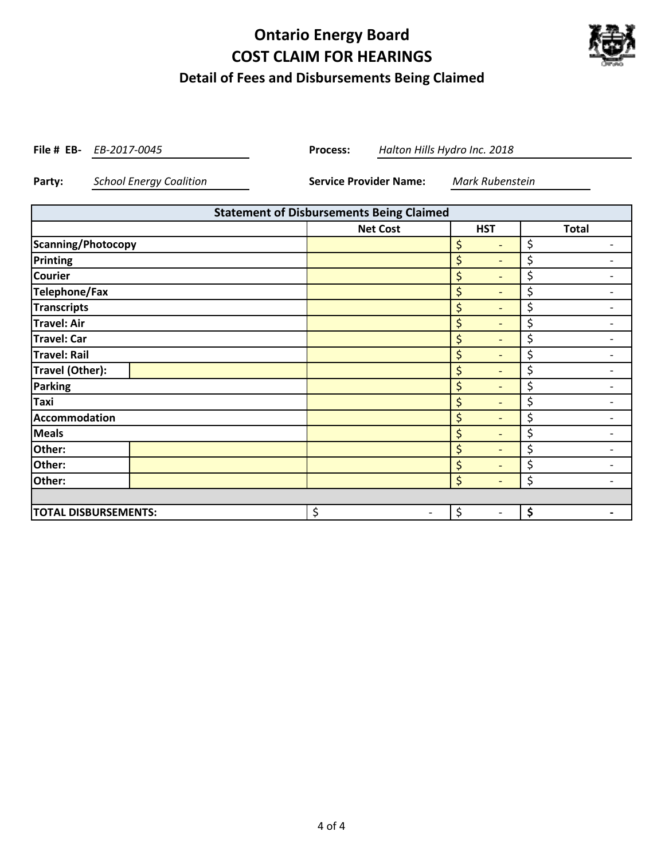## **Ontario Energy Board COST CLAIM FOR HEARINGS Detail of Fees and Disbursements Being Claimed**



**File # EB-** *EB-2017-0045* **Process:** 

*EB‐2017‐0045 Halton Hills Hydro Inc. 2018*

**Party:** *School Energy Coalition* **Service Provider Name:** *Mark Rubenstein*

| <b>Statement of Disbursements Being Claimed</b>                                                           |                 |                                    |                                |  |  |
|-----------------------------------------------------------------------------------------------------------|-----------------|------------------------------------|--------------------------------|--|--|
|                                                                                                           | <b>Net Cost</b> | <b>HST</b>                         | <b>Total</b>                   |  |  |
| Scanning/Photocopy                                                                                        |                 | \$<br>$\qquad \qquad \blacksquare$ | \$                             |  |  |
| Printing                                                                                                  |                 | \$<br>$\overline{\phantom{a}}$     | \$                             |  |  |
| <b>Courier</b>                                                                                            |                 | \$<br>$\overline{\phantom{0}}$     | \$                             |  |  |
| <b>Telephone/Fax</b>                                                                                      |                 | \$<br>$\qquad \qquad \blacksquare$ | \$                             |  |  |
| <b>Transcripts</b>                                                                                        |                 | \$<br>$\overline{\phantom{0}}$     | \$                             |  |  |
| <b>Travel: Air</b>                                                                                        |                 | \$<br>$\overline{\phantom{0}}$     | \$                             |  |  |
| <b>Travel: Car</b>                                                                                        |                 | \$<br>$\overline{\phantom{0}}$     | \$                             |  |  |
| <b>Travel: Rail</b>                                                                                       |                 | \$<br>$\qquad \qquad \blacksquare$ | \$                             |  |  |
| Travel (Other):                                                                                           |                 | \$<br>$\qquad \qquad \blacksquare$ | \$                             |  |  |
| Parking                                                                                                   |                 | \$<br>$\overline{\phantom{0}}$     | \$                             |  |  |
| Taxi                                                                                                      |                 | \$<br>$\qquad \qquad \blacksquare$ | \$                             |  |  |
| Accommodation                                                                                             |                 | \$<br>$\qquad \qquad \blacksquare$ | \$                             |  |  |
| <b>Meals</b>                                                                                              |                 | \$<br>$\qquad \qquad \blacksquare$ | \$                             |  |  |
| Other:                                                                                                    |                 | \$<br>$\qquad \qquad \blacksquare$ | \$                             |  |  |
| Other:                                                                                                    |                 | \$<br>$\qquad \qquad \blacksquare$ | \$                             |  |  |
| Other:                                                                                                    |                 | \$<br>$\overline{\phantom{0}}$     | \$<br>$\overline{\phantom{a}}$ |  |  |
|                                                                                                           |                 |                                    |                                |  |  |
| \$<br>\$<br>\$<br><b>TOTAL DISBURSEMENTS:</b><br>$\qquad \qquad \blacksquare$<br>$\overline{\phantom{a}}$ |                 |                                    |                                |  |  |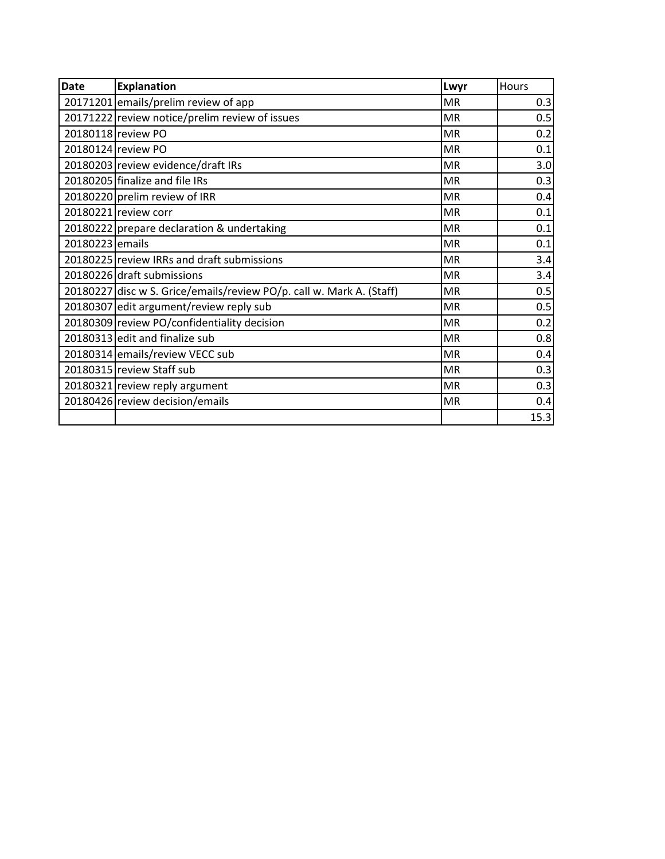| <b>Date</b>     | <b>Explanation</b>                                                   | Lwyr      | Hours |
|-----------------|----------------------------------------------------------------------|-----------|-------|
|                 | 20171201 emails/prelim review of app                                 | <b>MR</b> | 0.3   |
|                 | 20171222 review notice/prelim review of issues                       | <b>MR</b> | 0.5   |
|                 | 20180118 review PO                                                   | <b>MR</b> | 0.2   |
|                 | 20180124 review PO                                                   | <b>MR</b> | 0.1   |
|                 | 20180203 review evidence/draft IRs                                   | <b>MR</b> | 3.0   |
|                 | 20180205 finalize and file IRs                                       | <b>MR</b> | 0.3   |
|                 | 20180220 prelim review of IRR                                        | <b>MR</b> | 0.4   |
|                 | 20180221 review corr                                                 | <b>MR</b> | 0.1   |
|                 | 20180222 prepare declaration & undertaking                           | <b>MR</b> | 0.1   |
| 20180223 emails |                                                                      | <b>MR</b> | 0.1   |
|                 | 20180225 review IRRs and draft submissions                           | <b>MR</b> | 3.4   |
|                 | 20180226 draft submissions                                           | <b>MR</b> | 3.4   |
|                 | 20180227 disc w S. Grice/emails/review PO/p. call w. Mark A. (Staff) | <b>MR</b> | 0.5   |
|                 | 20180307 edit argument/review reply sub                              | <b>MR</b> | 0.5   |
|                 | 20180309 review PO/confidentiality decision                          | <b>MR</b> | 0.2   |
|                 | 20180313 edit and finalize sub                                       | <b>MR</b> | 0.8   |
|                 | 20180314 emails/review VECC sub                                      | <b>MR</b> | 0.4   |
|                 | 20180315 review Staff sub                                            | <b>MR</b> | 0.3   |
|                 | 20180321 review reply argument                                       | <b>MR</b> | 0.3   |
|                 | 20180426 review decision/emails                                      | <b>MR</b> | 0.4   |
|                 |                                                                      |           | 15.3  |